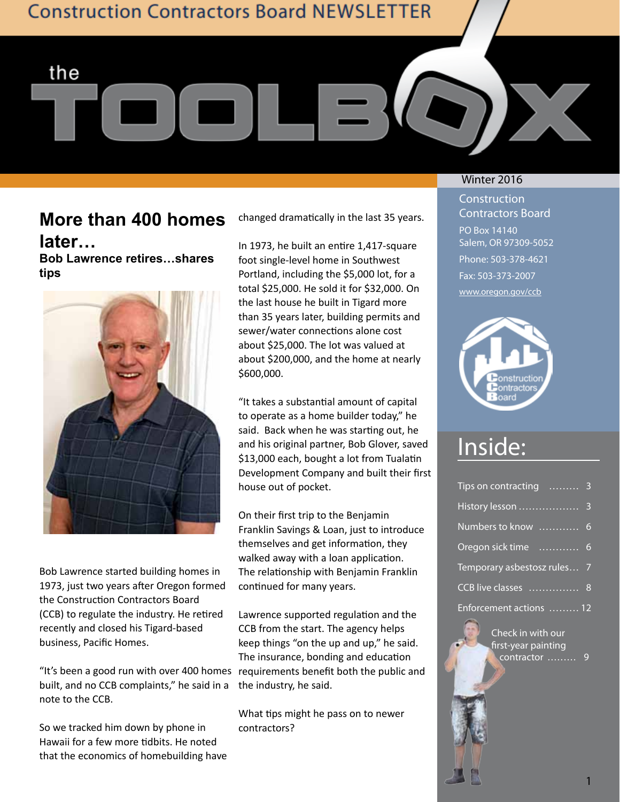**Construction Contractors Board NEWSLETTER** 

## **More than 400 homes later…**

the

**Bob Lawrence retires…shares tips**



Bob Lawrence started building homes in 1973, just two years after Oregon formed the Construction Contractors Board (CCB) to regulate the industry. He retired recently and closed his Tigard-based business, Pacific Homes.

"It's been a good run with over 400 homes requirements benefit both the public and built, and no CCB complaints," he said in a note to the CCB.

So we tracked him down by phone in Hawaii for a few more tidbits. He noted that the economics of homebuilding have changed dramatically in the last 35 years.

In 1973, he built an entire 1,417-square foot single-level home in Southwest Portland, including the \$5,000 lot, for a total \$25,000. He sold it for \$32,000. On the last house he built in Tigard more than 35 years later, building permits and sewer/water connections alone cost about \$25,000. The lot was valued at about \$200,000, and the home at nearly \$600,000.

"It takes a substantial amount of capital to operate as a home builder today," he said. Back when he was starting out, he and his original partner, Bob Glover, saved \$13,000 each, bought a lot from Tualatin Development Company and built their first house out of pocket.

On their first trip to the Benjamin Franklin Savings & Loan, just to introduce themselves and get information, they walked away with a loan application. The relationship with Benjamin Franklin continued for many years.

Lawrence supported regulation and the CCB from the start. The agency helps keep things "on the up and up," he said. The insurance, bonding and education the industry, he said.

What tips might he pass on to newer contractors?

### Winter 2016

**Construction** Contractors Board PO Box 14140 Salem, OR 97309-5052 Phone: 503-378-4621 Fax: 503-373-2007 www.oregon.gov/ccb



# Inside:

| Tips on contracting  3      |  |
|-----------------------------|--|
|                             |  |
| Numbers to know  6          |  |
| Oregon sick time  6         |  |
| Temporary asbestosz rules 7 |  |
| CCB live classes  8         |  |
| Enforcement actions  12     |  |

Check in with our first-year painting contractor ......... 9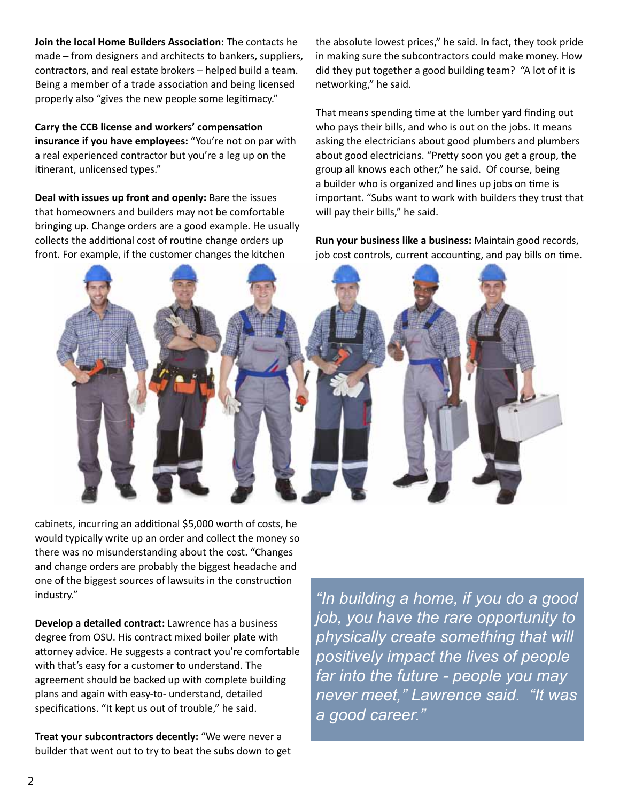**Join the local Home Builders Association:** The contacts he made – from designers and architects to bankers, suppliers, contractors, and real estate brokers – helped build a team. Being a member of a trade association and being licensed properly also "gives the new people some legitimacy."

**Carry the CCB license and workers' compensation insurance if you have employees:** "You're not on par with a real experienced contractor but you're a leg up on the itinerant, unlicensed types."

**Deal with issues up front and openly:** Bare the issues that homeowners and builders may not be comfortable bringing up. Change orders are a good example. He usually collects the additional cost of routine change orders up front. For example, if the customer changes the kitchen

the absolute lowest prices," he said. In fact, they took pride in making sure the subcontractors could make money. How did they put together a good building team? "A lot of it is networking," he said.

That means spending time at the lumber yard finding out who pays their bills, and who is out on the jobs. It means asking the electricians about good plumbers and plumbers about good electricians. "Pretty soon you get a group, the group all knows each other," he said. Of course, being a builder who is organized and lines up jobs on time is important. "Subs want to work with builders they trust that will pay their bills," he said.

**Run your business like a business:** Maintain good records, job cost controls, current accounting, and pay bills on time.



cabinets, incurring an additional \$5,000 worth of costs, he would typically write up an order and collect the money so there was no misunderstanding about the cost. "Changes and change orders are probably the biggest headache and one of the biggest sources of lawsuits in the construction industry."

**Develop a detailed contract:** Lawrence has a business degree from OSU. His contract mixed boiler plate with attorney advice. He suggests a contract you're comfortable with that's easy for a customer to understand. The agreement should be backed up with complete building plans and again with easy-to- understand, detailed specifications. "It kept us out of trouble," he said.

**Treat your subcontractors decently:** "We were never a builder that went out to try to beat the subs down to get

*"In building a home, if you do a good job, you have the rare opportunity to physically create something that will positively impact the lives of people far into the future - people you may never meet," Lawrence said. "It was a good career."*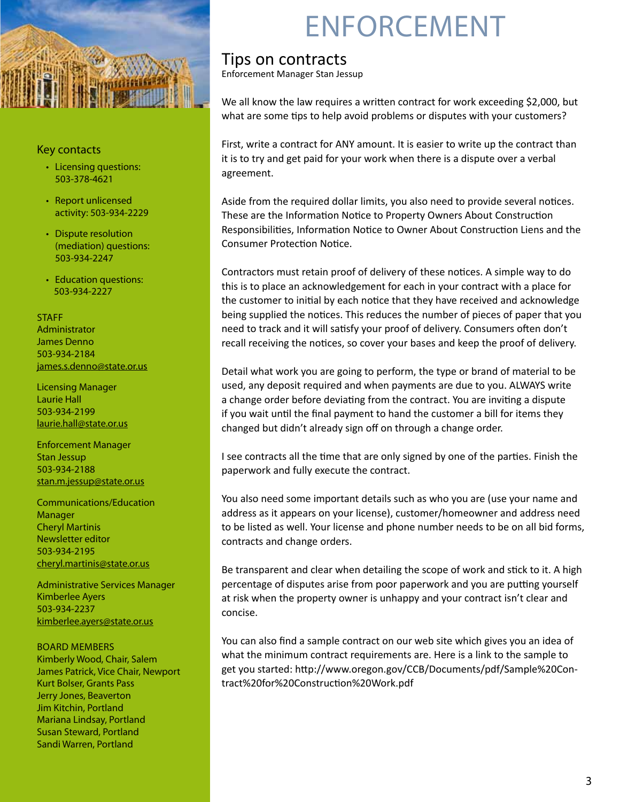

### Key contacts

- Licensing questions: 503-378-4621
- • Report unlicensed activity: 503-934-2229
- Dispute resolution (mediation) questions: 503-934-2247
- Education questions: 503-934-2227

### **STAFF**

Administrator James Denno 503-934-2184 james.s.denno@state.or.us

Licensing Manager Laurie Hall 503-934-2199 laurie.hall@state.or.us

Enforcement Manager Stan Jessup 503-934-2188 stan.m.jessup@state.or.us

Communications/Education Manager Cheryl Martinis Newsletter editor 503-934-2195 cheryl.martinis@state.or.us

Administrative Services Manager Kimberlee Ayers 503-934-2237 kimberlee.ayers@state.or.us

### Board members

Kimberly Wood, Chair, Salem James Patrick, Vice Chair, Newport Kurt Bolser, Grants Pass Jerry Jones, Beaverton Jim Kitchin, Portland Mariana Lindsay, Portland Susan Steward, Portland Sandi Warren, Portland

# **ENFORCEMENT**

### Tips on contracts

Enforcement Manager Stan Jessup

We all know the law requires a written contract for work exceeding \$2,000, but what are some tips to help avoid problems or disputes with your customers?

First, write a contract for ANY amount. It is easier to write up the contract than it is to try and get paid for your work when there is a dispute over a verbal agreement.

Aside from the required dollar limits, you also need to provide several notices. These are the Information Notice to Property Owners About Construction Responsibilities, Information Notice to Owner About Construction Liens and the Consumer Protection Notice.

Contractors must retain proof of delivery of these notices. A simple way to do this is to place an acknowledgement for each in your contract with a place for the customer to initial by each notice that they have received and acknowledge being supplied the notices. This reduces the number of pieces of paper that you need to track and it will satisfy your proof of delivery. Consumers often don't recall receiving the notices, so cover your bases and keep the proof of delivery.

Detail what work you are going to perform, the type or brand of material to be used, any deposit required and when payments are due to you. ALWAYS write a change order before deviating from the contract. You are inviting a dispute if you wait until the final payment to hand the customer a bill for items they changed but didn't already sign off on through a change order.

I see contracts all the time that are only signed by one of the parties. Finish the paperwork and fully execute the contract.

You also need some important details such as who you are (use your name and address as it appears on your license), customer/homeowner and address need to be listed as well. Your license and phone number needs to be on all bid forms, contracts and change orders.

Be transparent and clear when detailing the scope of work and stick to it. A high percentage of disputes arise from poor paperwork and you are putting yourself at risk when the property owner is unhappy and your contract isn't clear and concise.

You can also find a sample contract on our web site which gives you an idea of what the minimum contract requirements are. Here is a link to the sample to get you started: http://www.oregon.gov/CCB/Documents/pdf/Sample%20Contract%20for%20Construction%20Work.pdf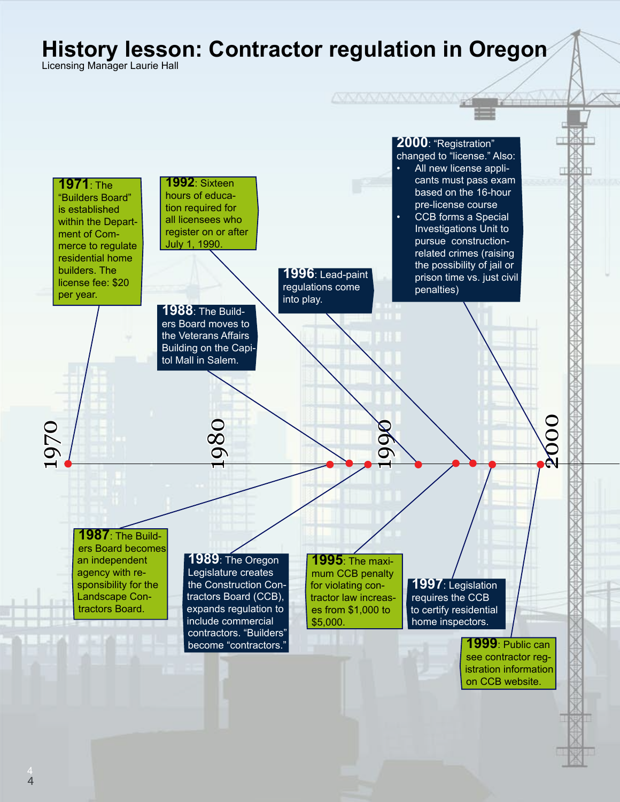# **History lesson: Contractor regulation in Oregon**

Licensing Manager Laurie Hall

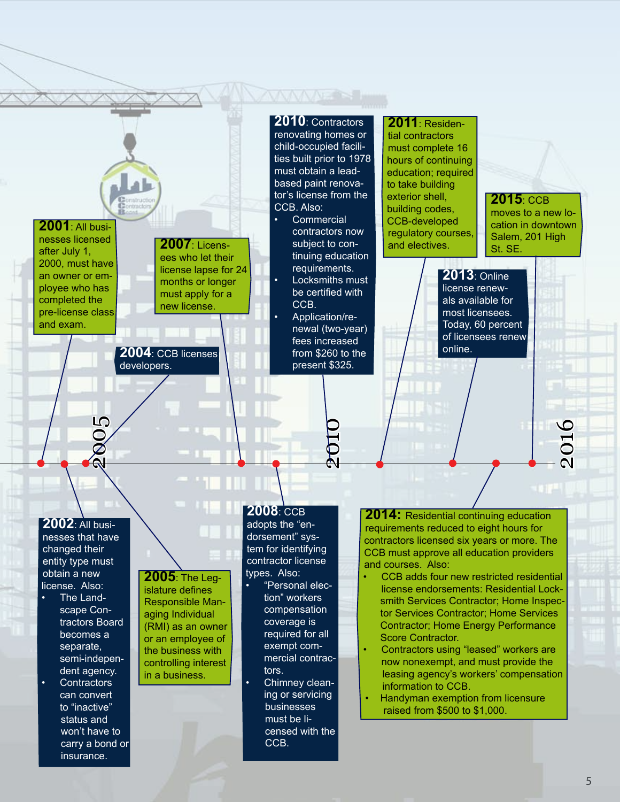### **MANDRE 2011**: Residen-**2010**: Contractors renovating homes or tial contractors child-occupied facilimust complete 16 ties built prior to 1978 hours of continuing must obtain a leadeducation; required based paint renovato take building tor's license from the exterior shell, **2015**: CCB CCB. Also: building codes, moves to a new lo-**Commercial** CCB-developed **2001**: All busication in downtown contractors now regulatory courses, Salem, 201 High nesses licensed **2007**: Licenssubject to conand electives. St. SE. after July 1, tinuing education ees who let their 2000, must have requirements. license lapse for 24 **2013**: Online an owner or em-**Locksmiths must** months or longer ployee who has license renewbe certified with must apply for a completed the als available for CCB. new license. pre-license class most licensees. Application/re-Today, 60 percent and exam. newal (two-year) of licensees renew fees increased online. **2004**: CCB licenses from \$260 to the developers. present \$325. 2005 2016 2010 **2008**: CCB **2014:** Residential continuing education **2002**: All busiadopts the "enrequirements reduced to eight hours for nesses that have dorsement" syscontractors licensed six years or more. The tem for identifying changed their CCB must approve all education providers contractor license entity type must and courses. Also: types. Also: obtain a new **2005**: The Leg-CCB adds four new restricted residential "Personal eleclicense. Also: islature defines license endorsements: Residential Locktion" workers The Landsmith Services Contractor; Home Inspec-Responsible Mancompensation scape Contor Services Contractor; Home Services aging Individual tractors Board coverage is Contractor; Home Energy Performance (RMI) as an owner required for all becomes a Score Contractor. or an employee of exempt comseparate, the business with Contractors using "leased" workers are semi-indepenmercial contracnow nonexempt, and must provide the controlling interest dent agency. tors. leasing agency's workers' compensation in a business. **Contractors** Chimney cleaninformation to CCB. can convert ing or servicing Handyman exemption from licensure to "inactive" businesses raised from \$500 to \$1,000. must be listatus and censed with the won't have to CCB. carry a bond or insurance.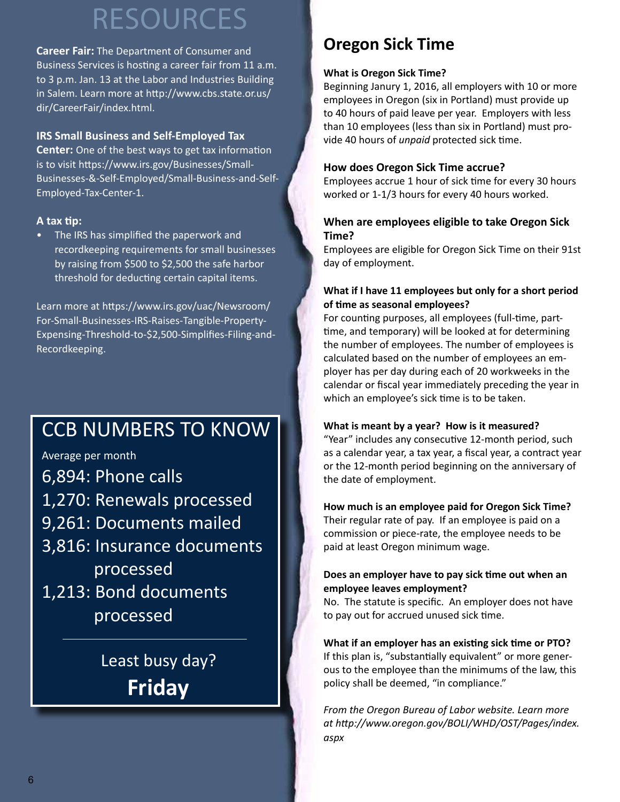# resources

**Career Fair:** The Department of Consumer and Business Services is hosting a career fair from 11 a.m. to 3 p.m. Jan. 13 at the Labor and Industries Building in Salem. Learn more at http://www.cbs.state.or.us/ dir/CareerFair/index.html.

### **IRS Small Business and Self-Employed Tax**

**Center:** One of the best ways to get tax information is to visit https://www.irs.gov/Businesses/Small-Businesses-&-Self-Employed/Small-Business-and-Self-Employed-Tax-Center-1.

### **A tax tip:**

• The IRS has simplified the paperwork and recordkeeping requirements for small businesses by raising from \$500 to \$2,500 the safe harbor threshold for deducting certain capital items.

Learn more at https://www.irs.gov/uac/Newsroom/ For-Small-Businesses-IRS-Raises-Tangible-Property-Expensing-Threshold-to-\$2,500-Simplifies-Filing-and-Recordkeeping.

# CCB NUMBERS TO KNOW

Average per month

- 6,894: Phone calls
- 1,270: Renewals processed
- 9,261: Documents mailed
- 3,816: Insurance documents processed
- 1,213: Bond documents processed

Least busy day? **Friday**

# **Oregon Sick Time**

### **What is Oregon Sick Time?**

Beginning Janury 1, 2016, all employers with 10 or more employees in Oregon (six in Portland) must provide up to 40 hours of paid leave per year. Employers with less than 10 employees (less than six in Portland) must provide 40 hours of *unpaid* protected sick time.

### **How does Oregon Sick Time accrue?**

Employees accrue 1 hour of sick time for every 30 hours worked or 1-1/3 hours for every 40 hours worked.

### **When are employees eligible to take Oregon Sick Time?**

Employees are eligible for Oregon Sick Time on their 91st day of employment.

### **What if I have 11 employees but only for a short period of time as seasonal employees?**

For counting purposes, all employees (full-time, parttime, and temporary) will be looked at for determining the number of employees. The number of employees is calculated based on the number of employees an employer has per day during each of 20 workweeks in the calendar or fiscal year immediately preceding the year in which an employee's sick time is to be taken.

### **What is meant by a year? How is it measured?**

"Year" includes any consecutive 12-month period, such as a calendar year, a tax year, a fiscal year, a contract year or the 12-month period beginning on the anniversary of the date of employment.

### **How much is an employee paid for Oregon Sick Time?**

Their regular rate of pay. If an employee is paid on a commission or piece-rate, the employee needs to be paid at least Oregon minimum wage.

### **Does an employer have to pay sick time out when an employee leaves employment?**

No. The statute is specific. An employer does not have to pay out for accrued unused sick time.

### **What if an employer has an existing sick time or PTO?** If this plan is, "substantially equivalent" or more generous to the employee than the minimums of the law, this policy shall be deemed, "in compliance."

*From the Oregon Bureau of Labor website. Learn more at http://www.oregon.gov/BOLI/WHD/OST/Pages/index. aspx*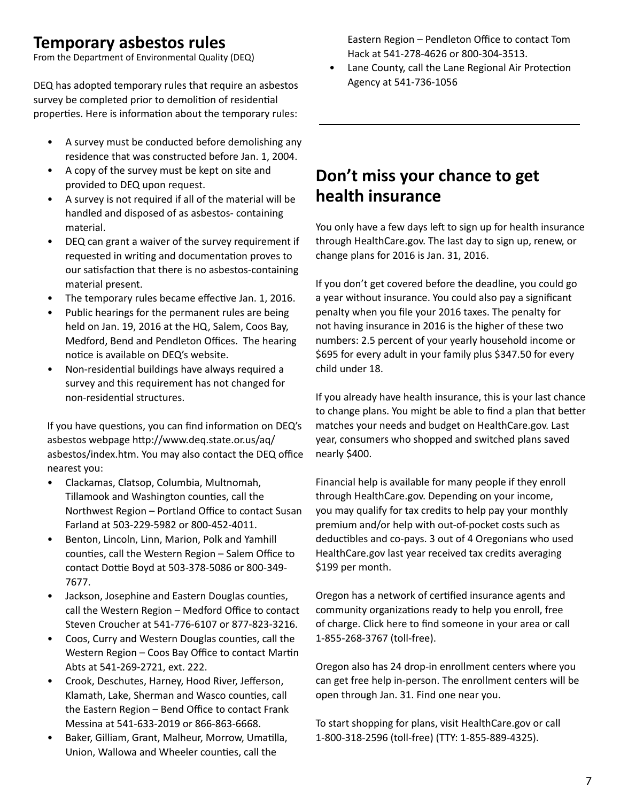## **Temporary asbestos rules**

From the Department of Environmental Quality (DEQ)

DEQ has adopted temporary rules that require an asbestos survey be completed prior to demolition of residential properties. Here is information about the temporary rules:

- A survey must be conducted before demolishing any residence that was constructed before Jan. 1, 2004.
- A copy of the survey must be kept on site and provided to DEQ upon request.
- A survey is not required if all of the material will be handled and disposed of as asbestos- containing material.
- DEQ can grant a waiver of the survey requirement if requested in writing and documentation proves to our satisfaction that there is no asbestos-containing material present.
- The temporary rules became effective Jan. 1, 2016.
- Public hearings for the permanent rules are being held on Jan. 19, 2016 at the HQ, Salem, Coos Bay, Medford, Bend and Pendleton Offices. The hearing notice is available on DEQ's website.
- Non-residential buildings have always required a survey and this requirement has not changed for non-residential structures.

If you have questions, you can find information on DEQ's asbestos webpage http://www.deq.state.or.us/aq/ asbestos/index.htm. You may also contact the DEQ office nearest you:

- Clackamas, Clatsop, Columbia, Multnomah, Tillamook and Washington counties, call the Northwest Region – Portland Office to contact Susan Farland at 503-229-5982 or 800-452-4011.
- Benton, Lincoln, Linn, Marion, Polk and Yamhill counties, call the Western Region – Salem Office to contact Dottie Boyd at 503-378-5086 or 800-349- 7677.
- Jackson, Josephine and Eastern Douglas counties, call the Western Region – Medford Office to contact Steven Croucher at 541-776-6107 or 877-823-3216.
- Coos, Curry and Western Douglas counties, call the Western Region – Coos Bay Office to contact Martin Abts at 541-269-2721, ext. 222.
- Crook, Deschutes, Harney, Hood River, Jefferson, Klamath, Lake, Sherman and Wasco counties, call the Eastern Region – Bend Office to contact Frank Messina at 541-633-2019 or 866-863-6668.
- Baker, Gilliam, Grant, Malheur, Morrow, Umatilla, Union, Wallowa and Wheeler counties, call the

Eastern Region – Pendleton Office to contact Tom Hack at 541-278-4626 or 800-304-3513.

Lane County, call the Lane Regional Air Protection Agency at 541-736-1056

# **Don't miss your chance to get health insurance**

You only have a few days left to sign up for health insurance through HealthCare.gov. The last day to sign up, renew, or change plans for 2016 is Jan. 31, 2016.

If you don't get covered before the deadline, you could go a year without insurance. You could also pay a significant penalty when you file your 2016 taxes. The penalty for not having insurance in 2016 is the higher of these two numbers: 2.5 percent of your yearly household income or \$695 for every adult in your family plus \$347.50 for every child under 18.

If you already have health insurance, this is your last chance to change plans. You might be able to find a plan that better matches your needs and budget on HealthCare.gov. Last year, consumers who shopped and switched plans saved nearly \$400.

Financial help is available for many people if they enroll through HealthCare.gov. Depending on your income, you may qualify for tax credits to help pay your monthly premium and/or help with out-of-pocket costs such as deductibles and co-pays. 3 out of 4 Oregonians who used HealthCare.gov last year received tax credits averaging \$199 per month.

Oregon has a network of certified insurance agents and community organizations ready to help you enroll, free of charge. Click here to find someone in your area or call 1-855-268-3767 (toll-free).

Oregon also has 24 drop-in enrollment centers where you can get free help in-person. The enrollment centers will be open through Jan. 31. Find one near you.

To start shopping for plans, visit HealthCare.gov or call 1-800-318-2596 (toll-free) (TTY: 1-855-889-4325).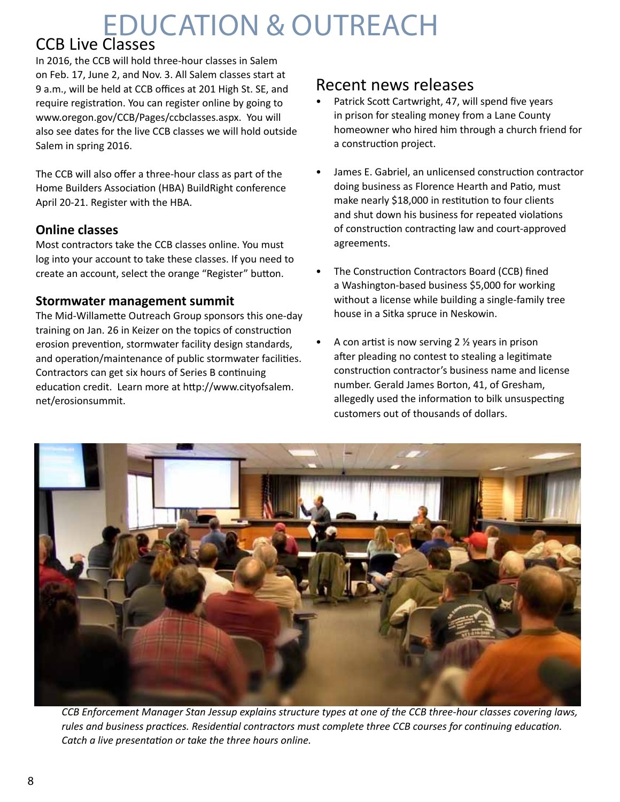# Education & outreach

# CCB Live Classes

In 2016, the CCB will hold three-hour classes in Salem on Feb. 17, June 2, and Nov. 3. All Salem classes start at 9 a.m., will be held at CCB offices at 201 High St. SE, and require registration. You can register online by going to www.oregon.gov/CCB/Pages/ccbclasses.aspx. You will also see dates for the live CCB classes we will hold outside Salem in spring 2016.

The CCB will also offer a three-hour class as part of the Home Builders Association (HBA) BuildRight conference April 20-21. Register with the HBA.

### **Online classes**

Most contractors take the CCB classes online. You must log into your account to take these classes. If you need to create an account, select the orange "Register" button.

### **Stormwater management summit**

The Mid-Willamette Outreach Group sponsors this one-day training on Jan. 26 in Keizer on the topics of construction erosion prevention, stormwater facility design standards, and operation/maintenance of public stormwater facilities. Contractors can get six hours of Series B continuing education credit. Learn more at http://www.cityofsalem. net/erosionsummit.

## Recent news releases

- Patrick Scott Cartwright, 47, will spend five years in prison for stealing money from a Lane County homeowner who hired him through a church friend for a construction project.
- James E. Gabriel, an unlicensed construction contractor doing business as Florence Hearth and Patio, must make nearly \$18,000 in restitution to four clients and shut down his business for repeated violations of construction contracting law and court-approved agreements.
- The Construction Contractors Board (CCB) fined a Washington-based business \$5,000 for working without a license while building a single-family tree house in a Sitka spruce in Neskowin.
- A con artist is now serving  $2 \frac{1}{2}$  years in prison after pleading no contest to stealing a legitimate construction contractor's business name and license number. Gerald James Borton, 41, of Gresham, allegedly used the information to bilk unsuspecting customers out of thousands of dollars.



*CCB Enforcement Manager Stan Jessup explains structure types at one of the CCB three-hour classes covering laws, rules and business practices. Residential contractors must complete three CCB courses for continuing education. Catch a live presentation or take the three hours online.*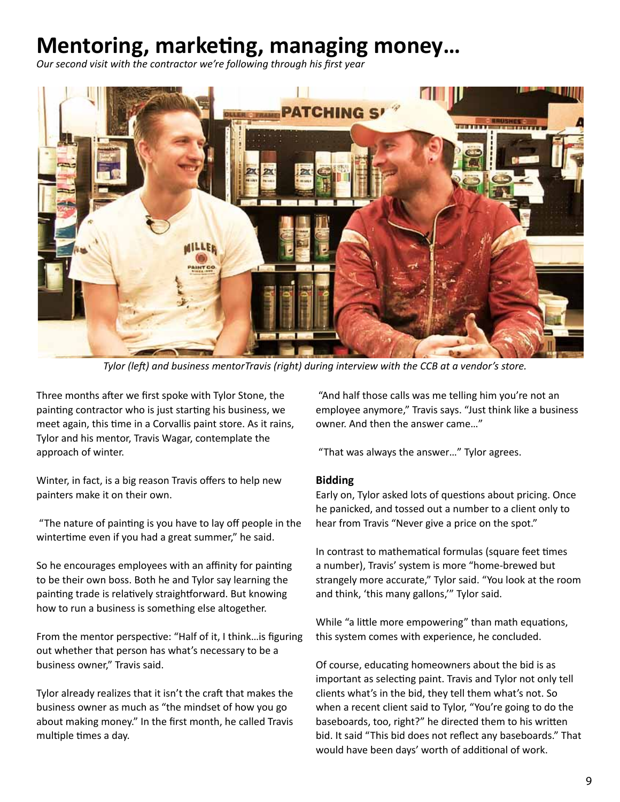# **Mentoring, marketing, managing money…**

*Our second visit with the contractor we're following through his first year*



*Tylor (left) and business mentorTravis (right) during interview with the CCB at a vendor's store.* 

Three months after we first spoke with Tylor Stone, the painting contractor who is just starting his business, we meet again, this time in a Corvallis paint store. As it rains, Tylor and his mentor, Travis Wagar, contemplate the approach of winter.

Winter, in fact, is a big reason Travis offers to help new painters make it on their own.

 "The nature of painting is you have to lay off people in the wintertime even if you had a great summer," he said.

So he encourages employees with an affinity for painting to be their own boss. Both he and Tylor say learning the painting trade is relatively straightforward. But knowing how to run a business is something else altogether.

From the mentor perspective: "Half of it, I think…is figuring out whether that person has what's necessary to be a business owner," Travis said.

Tylor already realizes that it isn't the craft that makes the business owner as much as "the mindset of how you go about making money." In the first month, he called Travis multiple times a day.

 "And half those calls was me telling him you're not an employee anymore," Travis says. "Just think like a business owner. And then the answer came…"

"That was always the answer…" Tylor agrees.

### **Bidding**

Early on, Tylor asked lots of questions about pricing. Once he panicked, and tossed out a number to a client only to hear from Travis "Never give a price on the spot."

In contrast to mathematical formulas (square feet times a number), Travis' system is more "home-brewed but strangely more accurate," Tylor said. "You look at the room and think, 'this many gallons,'" Tylor said.

While "a little more empowering" than math equations, this system comes with experience, he concluded.

Of course, educating homeowners about the bid is as important as selecting paint. Travis and Tylor not only tell clients what's in the bid, they tell them what's not. So when a recent client said to Tylor, "You're going to do the baseboards, too, right?" he directed them to his written bid. It said "This bid does not reflect any baseboards." That would have been days' worth of additional of work.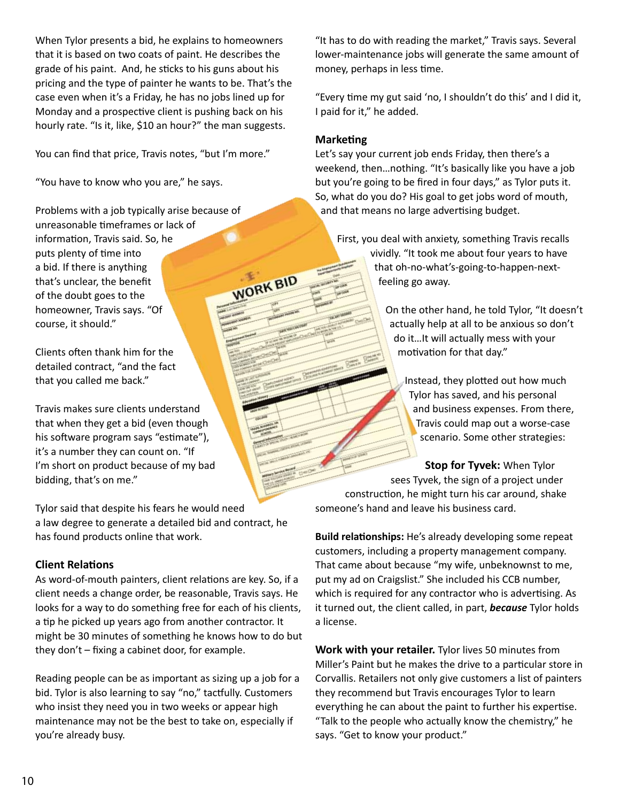When Tylor presents a bid, he explains to homeowners that it is based on two coats of paint. He describes the grade of his paint. And, he sticks to his guns about his pricing and the type of painter he wants to be. That's the case even when it's a Friday, he has no jobs lined up for Monday and a prospective client is pushing back on his hourly rate. "Is it, like, \$10 an hour?" the man suggests.

You can find that price, Travis notes, "but I'm more."

"You have to know who you are," he says.

Problems with a job typically arise because of unreasonable timeframes or lack of information, Travis said. So, he puts plenty of time into a bid. If there is anything WORK BID that's unclear, the benefit of the doubt goes to the homeowner, Travis says. "Of course, it should."

Clients often thank him for the detailed contract, "and the fact that you called me back."

Travis makes sure clients understand that when they get a bid (even though his software program says "estimate"), it's a number they can count on. "If I'm short on product because of my bad bidding, that's on me."

Tylor said that despite his fears he would need a law degree to generate a detailed bid and contract, he has found products online that work.

### **Client Relations**

As word-of-mouth painters, client relations are key. So, if a client needs a change order, be reasonable, Travis says. He looks for a way to do something free for each of his clients, a tip he picked up years ago from another contractor. It might be 30 minutes of something he knows how to do but they don't – fixing a cabinet door, for example.

Reading people can be as important as sizing up a job for a bid. Tylor is also learning to say "no," tactfully. Customers who insist they need you in two weeks or appear high maintenance may not be the best to take on, especially if you're already busy.

"It has to do with reading the market," Travis says. Several lower-maintenance jobs will generate the same amount of money, perhaps in less time.

"Every time my gut said 'no, I shouldn't do this' and I did it, I paid for it," he added.

### **Marketing**

Let's say your current job ends Friday, then there's a weekend, then…nothing. "It's basically like you have a job but you're going to be fired in four days," as Tylor puts it. So, what do you do? His goal to get jobs word of mouth, and that means no large advertising budget.

First, you deal with anxiety, something Travis recalls vividly. "It took me about four years to have that oh-no-what's-going-to-happen-nextfeeling go away.

> On the other hand, he told Tylor, "It doesn't actually help at all to be anxious so don't do it…It will actually mess with your motivation for that day."

Instead, they plotted out how much Tylor has saved, and his personal and business expenses. From there, Travis could map out a worse-case scenario. Some other strategies:

**Stop for Tyvek:** When Tylor sees Tyvek, the sign of a project under construction, he might turn his car around, shake someone's hand and leave his business card.

**Build relationships:** He's already developing some repeat customers, including a property management company. That came about because "my wife, unbeknownst to me, put my ad on Craigslist." She included his CCB number, which is required for any contractor who is advertising. As it turned out, the client called, in part, *because* Tylor holds a license.

**Work with your retailer.** Tylor lives 50 minutes from Miller's Paint but he makes the drive to a particular store in Corvallis. Retailers not only give customers a list of painters they recommend but Travis encourages Tylor to learn everything he can about the paint to further his expertise. "Talk to the people who actually know the chemistry," he says. "Get to know your product."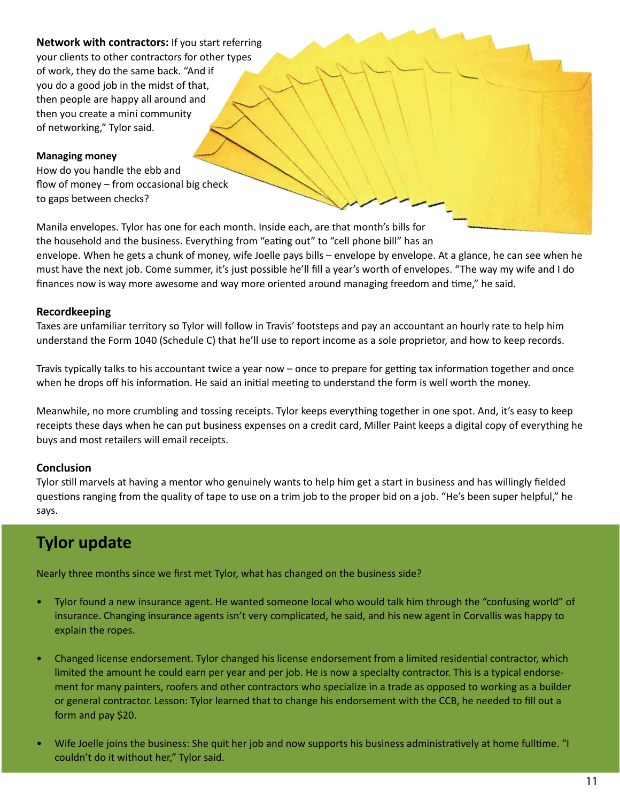**Network with contractors:** If you start referring your clients to other contractors for other types of work, they do the same back. "And if you do a good job in the midst of that, then people are happy all around and then you create a mini community of networking," Tylor said.

### **Managing money**

How do you handle the ebb and flow of money – from occasional big check to gaps between checks?

Manila envelopes. Tylor has one for each month. Inside each, are that month's bills for the household and the business. Everything from "eating out" to "cell phone bill" has an envelope. When he gets a chunk of money, wife Joelle pays bills – envelope by envelope. At a glance, he can see when he must have the next job. Come summer, it's just possible he'll fill a year's worth of envelopes. "The way my wife and I do finances now is way more awesome and way more oriented around managing freedom and time," he said.

### **Recordkeeping**

Taxes are unfamiliar territory so Tylor will follow in Travis' footsteps and pay an accountant an hourly rate to help him understand the Form 1040 (Schedule C) that he'll use to report income as a sole proprietor, and how to keep records.

Travis typically talks to his accountant twice a year now – once to prepare for getting tax information together and once when he drops off his information. He said an initial meeting to understand the form is well worth the money.

Meanwhile, no more crumbling and tossing receipts. Tylor keeps everything together in one spot. And, it's easy to keep receipts these days when he can put business expenses on a credit card, Miller Paint keeps a digital copy of everything he buys and most retailers will email receipts.

### **Conclusion**

Tylor still marvels at having a mentor who genuinely wants to help him get a start in business and has willingly fielded questions ranging from the quality of tape to use on a trim job to the proper bid on a job. "He's been super helpful," he says.

# **Tylor update**

Nearly three months since we first met Tylor, what has changed on the business side?

- Tylor found a new insurance agent. He wanted someone local who would talk him through the "confusing world" of insurance. Changing insurance agents isn't very complicated, he said, and his new agent in Corvallis was happy to explain the ropes.
- Changed license endorsement. Tylor changed his license endorsement from a limited residential contractor, which limited the amount he could earn per year and per job. He is now a specialty contractor. This is a typical endorsement for many painters, roofers and other contractors who specialize in a trade as opposed to working as a builder or general contractor. Lesson: Tylor learned that to change his endorsement with the CCB, he needed to fill out a form and pay \$20.
- Wife Joelle joins the business: She quit her job and now supports his business administratively at home fulltime. "I couldn't do it without her," Tylor said.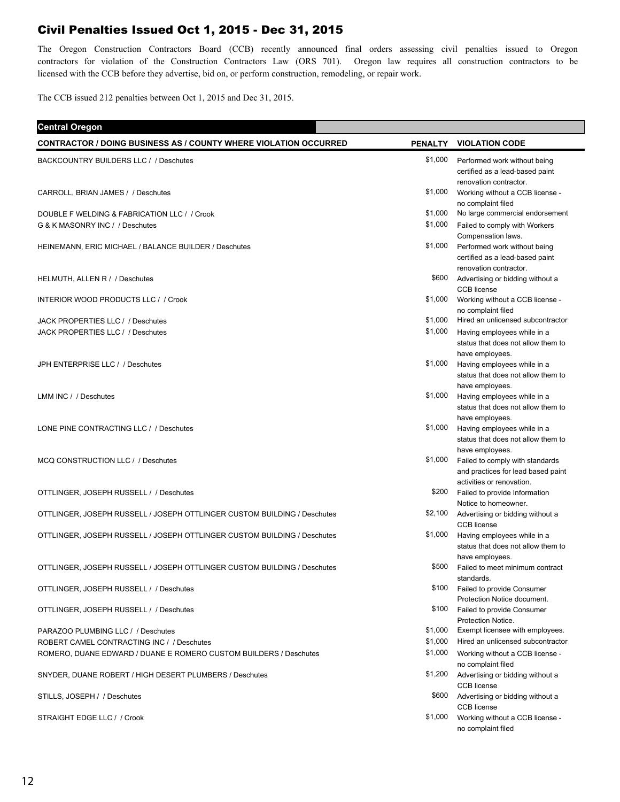## Civil Penalties Issued Oct 1, 2015 - Dec 31, 2015

The Oregon Construction Contractors Board (CCB) recently announced final orders assessing civil penalties issued to Oregon contractors for violation of the Construction Contractors Law (ORS 701). Oregon law requires all construction contractors to be licensed with the CCB before they advertise, bid on, or perform construction, remodeling, or repair work.

The CCB issued 212 penalties between Oct 1, 2015 and Dec 31, 2015.

| <b>Central Oregon</b>                                                           |                    |                                                                                                                       |
|---------------------------------------------------------------------------------|--------------------|-----------------------------------------------------------------------------------------------------------------------|
| <b>CONTRACTOR / DOING BUSINESS AS / COUNTY WHERE VIOLATION OCCURRED</b>         |                    | PENALTY VIOLATION CODE                                                                                                |
| BACKCOUNTRY BUILDERS LLC / / Deschutes                                          | \$1,000            | Performed work without being<br>certified as a lead-based paint<br>renovation contractor.                             |
| CARROLL, BRIAN JAMES / / Deschutes                                              | \$1,000            | Working without a CCB license -<br>no complaint filed                                                                 |
| DOUBLE F WELDING & FABRICATION LLC / / Crook<br>G & K MASONRY INC / / Deschutes | \$1,000<br>\$1,000 | No large commercial endorsement<br>Failed to comply with Workers<br>Compensation laws.                                |
| HEINEMANN, ERIC MICHAEL / BALANCE BUILDER / Deschutes                           | \$1,000            | Performed work without being<br>certified as a lead-based paint<br>renovation contractor.                             |
| HELMUTH, ALLEN R / / Deschutes                                                  | \$600              | Advertising or bidding without a<br><b>CCB</b> license                                                                |
| <b>INTERIOR WOOD PRODUCTS LLC / / Crook</b>                                     | \$1,000            | Working without a CCB license -<br>no complaint filed                                                                 |
| JACK PROPERTIES LLC / / Deschutes                                               | \$1,000            | Hired an unlicensed subcontractor                                                                                     |
| JACK PROPERTIES LLC / / Deschutes                                               | \$1,000            | Having employees while in a<br>status that does not allow them to<br>have employees.                                  |
| JPH ENTERPRISE LLC / / Deschutes                                                | \$1,000            | Having employees while in a<br>status that does not allow them to<br>have employees.                                  |
| LMM INC / / Deschutes                                                           | \$1,000            | Having employees while in a<br>status that does not allow them to<br>have employees.                                  |
| LONE PINE CONTRACTING LLC / / Deschutes                                         | \$1,000            | Having employees while in a<br>status that does not allow them to                                                     |
| MCQ CONSTRUCTION LLC / / Deschutes                                              | \$1,000            | have employees.<br>Failed to comply with standards<br>and practices for lead based paint<br>activities or renovation. |
| OTTLINGER, JOSEPH RUSSELL / / Deschutes                                         | \$200              | Failed to provide Information<br>Notice to homeowner.                                                                 |
| OTTLINGER, JOSEPH RUSSELL / JOSEPH OTTLINGER CUSTOM BUILDING / Deschutes        | \$2,100            | Advertising or bidding without a<br><b>CCB</b> license                                                                |
| OTTLINGER, JOSEPH RUSSELL / JOSEPH OTTLINGER CUSTOM BUILDING / Deschutes        | \$1,000            | Having employees while in a<br>status that does not allow them to<br>have employees.                                  |
| OTTLINGER, JOSEPH RUSSELL / JOSEPH OTTLINGER CUSTOM BUILDING / Deschutes        | \$500              | Failed to meet minimum contract<br>standards.                                                                         |
| OTTLINGER, JOSEPH RUSSELL / / Deschutes                                         | \$100              | Failed to provide Consumer<br>Protection Notice document.                                                             |
| OTTLINGER, JOSEPH RUSSELL / / Deschutes                                         | \$100              | Failed to provide Consumer<br>Protection Notice.                                                                      |
| PARAZOO PLUMBING LLC / / Deschutes                                              | \$1,000            | Exempt licensee with employees.                                                                                       |
| ROBERT CAMEL CONTRACTING INC / / Deschutes                                      | \$1,000            | Hired an unlicensed subcontractor                                                                                     |
| ROMERO, DUANE EDWARD / DUANE E ROMERO CUSTOM BUILDERS / Deschutes               | \$1,000            | Working without a CCB license -<br>no complaint filed                                                                 |
| SNYDER, DUANE ROBERT / HIGH DESERT PLUMBERS / Deschutes                         | \$1,200            | Advertising or bidding without a<br><b>CCB</b> license                                                                |
| STILLS, JOSEPH / / Deschutes                                                    | \$600              | Advertising or bidding without a<br><b>CCB</b> license                                                                |
| STRAIGHT EDGE LLC / / Crook                                                     | \$1,000            | Working without a CCB license -<br>no complaint filed                                                                 |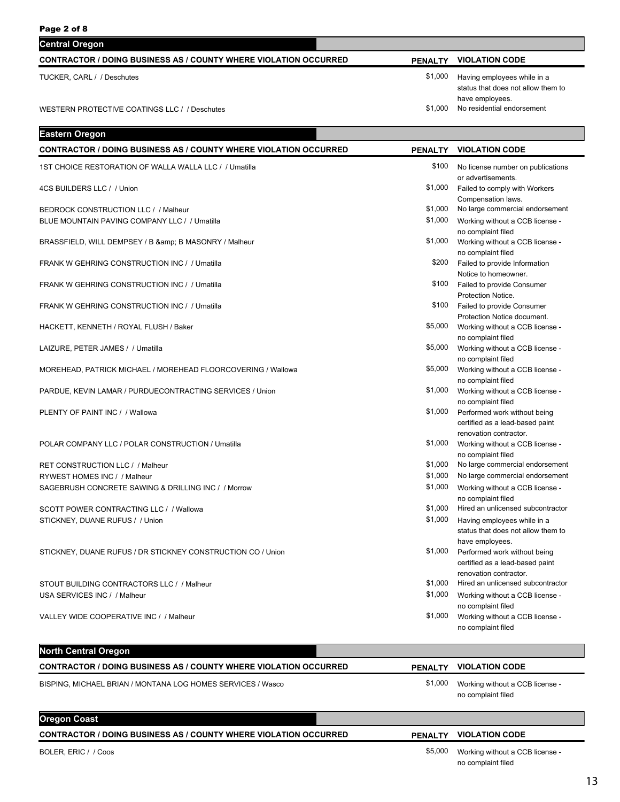| Paye Z UI O                                                             |                |                                                                           |
|-------------------------------------------------------------------------|----------------|---------------------------------------------------------------------------|
| <b>Central Oregon</b>                                                   |                |                                                                           |
| <b>CONTRACTOR / DOING BUSINESS AS / COUNTY WHERE VIOLATION OCCURRED</b> | <b>PENALTY</b> | <b>VIOLATION CODE</b>                                                     |
| TUCKER, CARL / / Deschutes                                              | \$1,000        | Having employees while in a<br>status that does not allow them to         |
| WESTERN PROTECTIVE COATINGS LLC / / Deschutes                           | \$1,000        | have employees.<br>No residential endorsement                             |
|                                                                         |                |                                                                           |
| <b>Eastern Oregon</b>                                                   |                |                                                                           |
| <b>CONTRACTOR / DOING BUSINESS AS / COUNTY WHERE VIOLATION OCCURRED</b> | <b>PENALTY</b> | <b>VIOLATION CODE</b>                                                     |
| 1ST CHOICE RESTORATION OF WALLA WALLA LLC / / Umatilla                  | \$100          | No license number on publications                                         |
| 4CS BUILDERS LLC / / Union                                              | \$1,000        | or advertisements.<br>Failed to comply with Workers<br>Compensation laws. |
| <b>BEDROCK CONSTRUCTION LLC / / Malheur</b>                             | \$1,000        | No large commercial endorsement                                           |

BRASSFIELD, WILL DEMPSEY / B & amp; B MASONRY / Malheur

FRANK W GEHRING CONSTRUCTION INC / / Umatilla

FRANK W GEHRING CONSTRUCTION INC / / Umatilla

FRANK W GEHRING CONSTRUCTION INC / / Umatilla

HACKETT, KENNETH / ROYAL FLUSH / Baker

LAIZURE, PETER JAMES / / Umatilla

MOREHEAD, PATRICK MICHAEL / MOREHEAD FLOORCOVERING / Wallowa

PARDUE, KEVIN LAMAR / PURDUECONTRACTING SERVICES / Union

PLENTY OF PAINT INC / / Wallowa

POLAR COMPANY LLC / POLAR CONSTRUCTION / Umatilla

RET CONSTRUCTION LLC / / Malheur **blue and the state of the state of the state of the state of the state of the state of the state of the state of the state of the state of the state of the state of the state of the state** RYWEST HOMES INC / / Malheur **but a large commercial endorsement** \$1,000 No large commercial endorsement SAGEBRUSH CONCRETE SAWING & DRILLING INC / / Morrow

SCOTT POWER CONTRACTING LLC / / Wallowa **\$1,000 Hired and unlicensed subcontract and unlicensed subcontract subcontract subcontract subcontract in unlicensed subcontract in the set of the set of the set of the set of the s** STICKNEY, DUANE RUFUS / / Union

STICKNEY, DUANE RUFUS / DR STICKNEY CONSTRUCTION CO / Union

STOUT BUILDING CONTRACTORS LLC / / Malheur \$1,000 Hired an unlicensed subcontractor USA SERVICES INC / / Malheur

VALLEY WIDE COOPERATIVE INC / / Malheur

|                                                                  |                | no complaint filed                                    |
|------------------------------------------------------------------|----------------|-------------------------------------------------------|
| <b>North Central Oregon</b>                                      |                |                                                       |
| CONTRACTOR / DOING BUSINESS AS / COUNTY WHERE VIOLATION OCCURRED | <b>PENALTY</b> | <b>VIOLATION CODE</b>                                 |
| BISPING, MICHAEL BRIAN / MONTANA LOG HOMES SERVICES / Wasco      | \$1,000        | Working without a CCB license -<br>no complaint filed |
| <b>Oregon Coast</b>                                              |                |                                                       |
| CONTRACTOR / DOING BUSINESS AS / COUNTY WHERE VIOLATION OCCURRED | <b>PENALTY</b> | <b>VIOLATION CODE</b>                                 |

BOLER, ERIC / / Coos

no complaint filed

\$1,000 Working without a CCB license no complaint filed

\$200 Failed to provide Information Notice to homeowner.

\$100 Failed to provide Consumer Protection Notice.

\$100 Failed to provide Consumer Protection Notice document.

\$5,000 Working without a CCB license no complaint filed

\$5,000 Working without a CCB license no complaint filed

\$5,000 Working without a CCB license no complaint filed

\$1,000 Working without a CCB license no complaint filed

\$1,000 Performed work without being certified as a lead-based paint renovation contractor.

\$1,000 Working without a CCB license no complaint filed

\$1,000 Working without a CCB license -

\$1,000 Having employees while in a

have employees.

\$1,000 Performed work without being

\$1,000 Working without a CCB license no complaint filed

\$1,000 Working without a CCB license n<br>Complete files

no complaint filed

status that does not allow them to

certified as a lead-based paint renovation contractor.

\$5,000 Working without a CCB license no complaint filed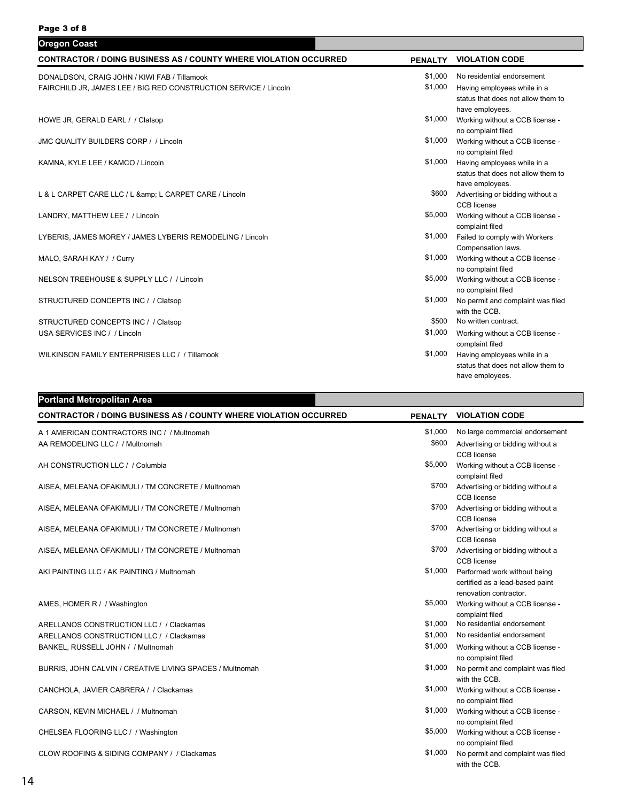| <b>Oregon Coast</b>                                                     |                |                                                                                      |
|-------------------------------------------------------------------------|----------------|--------------------------------------------------------------------------------------|
| <b>CONTRACTOR / DOING BUSINESS AS / COUNTY WHERE VIOLATION OCCURRED</b> | <b>PENALTY</b> | <b>VIOLATION CODE</b>                                                                |
| DONALDSON, CRAIG JOHN / KIWI FAB / Tillamook                            | \$1,000        | No residential endorsement                                                           |
| FAIRCHILD JR, JAMES LEE / BIG RED CONSTRUCTION SERVICE / Lincoln        | \$1,000        | Having employees while in a<br>status that does not allow them to<br>have employees. |
| HOWE JR, GERALD EARL / / Clatsop                                        | \$1,000        | Working without a CCB license -<br>no complaint filed                                |
| <b>JMC QUALITY BUILDERS CORP / / Lincoln</b>                            | \$1,000        | Working without a CCB license -<br>no complaint filed                                |
| KAMNA, KYLE LEE / KAMCO / Lincoln                                       | \$1,000        | Having employees while in a<br>status that does not allow them to<br>have employees. |
| L & L CARPET CARE LLC / L & L CARPET CARE / Lincoln                     |                | \$600 Advertising or bidding without a<br>CCB license                                |
| LANDRY, MATTHEW LEE / / Lincoln                                         | \$5,000        | Working without a CCB license -<br>complaint filed                                   |
| LYBERIS, JAMES MOREY / JAMES LYBERIS REMODELING / Lincoln               | \$1,000        | Failed to comply with Workers<br>Compensation laws.                                  |
| MALO, SARAH KAY / / Curry                                               | \$1,000        | Working without a CCB license -<br>no complaint filed                                |
| NELSON TREEHOUSE & SUPPLY LLC / / Lincoln                               | \$5,000        | Working without a CCB license -<br>no complaint filed                                |
| STRUCTURED CONCEPTS INC / / Clatsop                                     | \$1,000        | No permit and complaint was filed<br>with the CCB.                                   |
| STRUCTURED CONCEPTS INC / / Clatsop                                     | \$500          | No written contract.                                                                 |
| USA SERVICES INC / / Lincoln                                            | \$1,000        | Working without a CCB license -<br>complaint filed                                   |
| WILKINSON FAMILY ENTERPRISES LLC / / Tillamook                          | \$1,000        | Having employees while in a<br>status that does not allow them to<br>have employees. |

| <b>Portland Metropolitan Area</b>                                       |                  |                                                                              |
|-------------------------------------------------------------------------|------------------|------------------------------------------------------------------------------|
| <b>CONTRACTOR / DOING BUSINESS AS / COUNTY WHERE VIOLATION OCCURRED</b> | <b>PENALTY</b>   | <b>VIOLATION CODE</b>                                                        |
| A 1 AMERICAN CONTRACTORS INC / / Multnomah                              | \$1,000<br>\$600 | No large commercial endorsement                                              |
| AA REMODELING LLC / / Multnomah                                         |                  | Advertising or bidding without a<br>CCB license                              |
| AH CONSTRUCTION LLC / / Columbia                                        | \$5,000          | Working without a CCB license -<br>complaint filed                           |
| AISEA, MELEANA OFAKIMULI / TM CONCRETE / Multnomah                      | \$700            | Advertising or bidding without a<br>CCB license                              |
| AISEA, MELEANA OFAKIMULI / TM CONCRETE / Multnomah                      | \$700            | Advertising or bidding without a                                             |
| AISEA, MELEANA OFAKIMULI / TM CONCRETE / Multnomah                      | \$700            | CCB license<br>Advertising or bidding without a                              |
| AISEA, MELEANA OFAKIMULI / TM CONCRETE / Multnomah                      | \$700            | <b>CCB</b> license<br>Advertising or bidding without a                       |
| AKI PAINTING LLC / AK PAINTING / Multnomah                              | \$1,000          | <b>CCB</b> license<br>Performed work without being                           |
|                                                                         |                  | certified as a lead-based paint                                              |
| AMES, HOMER R / / Washington                                            | \$5,000          | renovation contractor.<br>Working without a CCB license -<br>complaint filed |
| ARELLANOS CONSTRUCTION LLC / / Clackamas                                | \$1,000          | No residential endorsement                                                   |
| ARELLANOS CONSTRUCTION LLC / / Clackamas                                | \$1,000          | No residential endorsement                                                   |
| BANKEL, RUSSELL JOHN / / Multnomah                                      | \$1,000          | Working without a CCB license -<br>no complaint filed                        |
| BURRIS, JOHN CALVIN / CREATIVE LIVING SPACES / Multnomah                | \$1,000          | No permit and complaint was filed<br>with the CCB.                           |
| CANCHOLA, JAVIER CABRERA / / Clackamas                                  | \$1,000          | Working without a CCB license -                                              |
| CARSON, KEVIN MICHAEL / / Multnomah                                     | \$1,000          | no complaint filed<br>Working without a CCB license -                        |
| CHELSEA FLOORING LLC / / Washington                                     | \$5,000          | no complaint filed<br>Working without a CCB license -<br>no complaint filed  |
| CLOW ROOFING & SIDING COMPANY / / Clackamas                             | \$1,000          | No permit and complaint was filed<br>with the CCB.                           |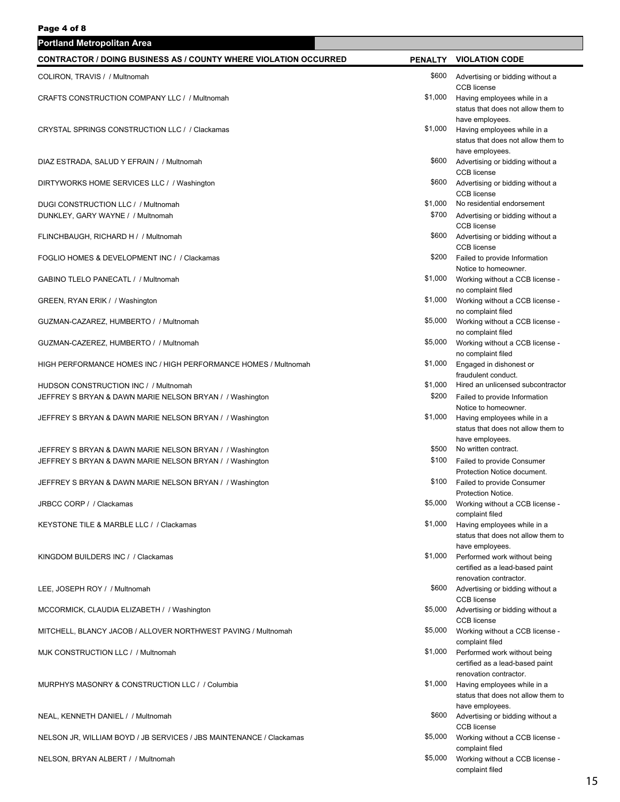| <b>Portland Metropolitan Area</b>                                                                                     |                  |                                                                                             |
|-----------------------------------------------------------------------------------------------------------------------|------------------|---------------------------------------------------------------------------------------------|
| <b>CONTRACTOR / DOING BUSINESS AS / COUNTY WHERE VIOLATION OCCURRED</b>                                               |                  | PENALTY VIOLATION CODE                                                                      |
| COLIRON, TRAVIS / / Multnomah                                                                                         | \$600            | Advertising or bidding without a<br><b>CCB</b> license                                      |
| CRAFTS CONSTRUCTION COMPANY LLC / / Multnomah                                                                         | \$1,000          | Having employees while in a<br>status that does not allow them to                           |
| CRYSTAL SPRINGS CONSTRUCTION LLC / / Clackamas                                                                        | \$1,000          | have employees.<br>Having employees while in a<br>status that does not allow them to        |
| DIAZ ESTRADA, SALUD Y EFRAIN / / Multnomah                                                                            | \$600            | have employees.<br>Advertising or bidding without a<br><b>CCB</b> license                   |
| DIRTYWORKS HOME SERVICES LLC / / Washington                                                                           | \$600            | Advertising or bidding without a<br><b>CCB</b> license                                      |
| DUGI CONSTRUCTION LLC / / Multnomah<br>DUNKLEY, GARY WAYNE / / Multnomah                                              | \$1,000<br>\$700 | No residential endorsement<br>Advertising or bidding without a                              |
| FLINCHBAUGH, RICHARD H / / Multnomah                                                                                  | \$600            | <b>CCB</b> license<br>Advertising or bidding without a                                      |
| FOGLIO HOMES & DEVELOPMENT INC / / Clackamas                                                                          | \$200            | <b>CCB</b> license<br>Failed to provide Information                                         |
| GABINO TLELO PANECATL / / Multnomah                                                                                   | \$1,000          | Notice to homeowner.<br>Working without a CCB license -<br>no complaint filed               |
| GREEN, RYAN ERIK / / Washington                                                                                       | \$1,000          | Working without a CCB license -<br>no complaint filed                                       |
| GUZMAN-CAZAREZ, HUMBERTO / / Multnomah                                                                                | \$5,000          | Working without a CCB license -<br>no complaint filed                                       |
| GUZMAN-CAZEREZ, HUMBERTO / / Multnomah                                                                                | \$5,000          | Working without a CCB license -<br>no complaint filed                                       |
| HIGH PERFORMANCE HOMES INC / HIGH PERFORMANCE HOMES / Multnomah                                                       | \$1,000          | Engaged in dishonest or<br>fraudulent conduct.                                              |
| HUDSON CONSTRUCTION INC / / Multnomah<br>JEFFREY S BRYAN & DAWN MARIE NELSON BRYAN / / Washington                     | \$1,000<br>\$200 | Hired an unlicensed subcontractor<br>Failed to provide Information                          |
| JEFFREY S BRYAN & DAWN MARIE NELSON BRYAN / / Washington                                                              | \$1,000          | Notice to homeowner.<br>Having employees while in a<br>status that does not allow them to   |
| JEFFREY S BRYAN & DAWN MARIE NELSON BRYAN / / Washington                                                              | \$500            | have employees.<br>No written contract.                                                     |
| JEFFREY S BRYAN & DAWN MARIE NELSON BRYAN /  / Washington<br>JEFFREY S BRYAN & DAWN MARIE NELSON BRYAN / / Washington | \$100<br>\$100   | Failed to provide Consumer<br>Protection Notice document.<br>Failed to provide Consumer     |
| JRBCC CORP / / Clackamas                                                                                              | \$5,000          | Protection Notice.<br>Working without a CCB license -                                       |
| KEYSTONE TILE & MARBLE LLC / / Clackamas                                                                              | \$1,000          | complaint filed<br>Having employees while in a                                              |
| KINGDOM BUILDERS INC / / Clackamas                                                                                    | \$1,000          | status that does not allow them to<br>have employees.<br>Performed work without being       |
|                                                                                                                       |                  | certified as a lead-based paint<br>renovation contractor.                                   |
| LEE, JOSEPH ROY / / Multnomah                                                                                         | \$600            | Advertising or bidding without a<br><b>CCB</b> license                                      |
| MCCORMICK, CLAUDIA ELIZABETH / / Washington                                                                           | \$5,000          | Advertising or bidding without a<br>CCB license                                             |
| MITCHELL, BLANCY JACOB / ALLOVER NORTHWEST PAVING / Multnomah                                                         | \$5,000          | Working without a CCB license -<br>complaint filed                                          |
| MJK CONSTRUCTION LLC / / Multnomah                                                                                    | \$1,000          | Performed work without being<br>certified as a lead-based paint                             |
| MURPHYS MASONRY & CONSTRUCTION LLC / / Columbia                                                                       | \$1,000          | renovation contractor.<br>Having employees while in a<br>status that does not allow them to |
| NEAL, KENNETH DANIEL / / Multnomah                                                                                    | \$600            | have employees.<br>Advertising or bidding without a                                         |
| NELSON JR, WILLIAM BOYD / JB SERVICES / JBS MAINTENANCE / Clackamas                                                   | \$5,000          | <b>CCB</b> license<br>Working without a CCB license -                                       |
| NELSON, BRYAN ALBERT / / Multnomah                                                                                    | \$5,000          | complaint filed<br>Working without a CCB license -<br>complaint filed                       |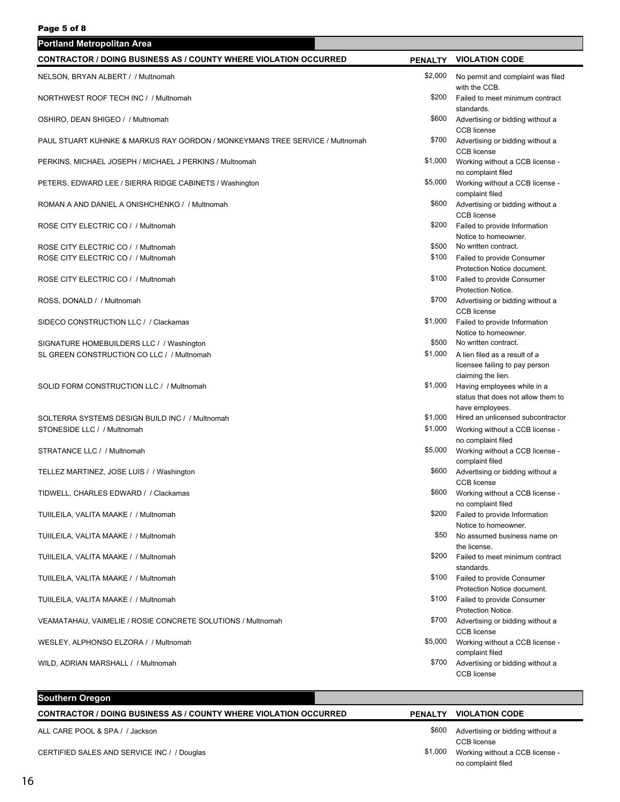| Portland Metropolitan Area                                                     |         |                                                                                       |
|--------------------------------------------------------------------------------|---------|---------------------------------------------------------------------------------------|
| <b>CONTRACTOR / DOING BUSINESS AS / COUNTY WHERE VIOLATION OCCURRED</b>        |         | PENALTY VIOLATION CODE                                                                |
| NELSON, BRYAN ALBERT / / Multnomah                                             | \$2,000 | No permit and complaint was filed                                                     |
| NORTHWEST ROOF TECH INC / / Multnomah                                          | \$200   | with the CCB.<br>Failed to meet minimum contract                                      |
| OSHIRO, DEAN SHIGEO / / Multnomah                                              | \$600   | standards.<br>Advertising or bidding without a<br>CCB license                         |
| PAUL STUART KUHNKE & MARKUS RAY GORDON / MONKEYMANS TREE SERVICE / Multnomah   | \$700   | Advertising or bidding without a<br>CCB license                                       |
| PERKINS, MICHAEL JOSEPH / MICHAEL J PERKINS / Multnomah                        | \$1,000 | Working without a CCB license -<br>no complaint filed                                 |
| PETERS, EDWARD LEE / SIERRA RIDGE CABINETS / Washington                        | \$5,000 | Working without a CCB license -<br>complaint filed                                    |
| ROMAN A AND DANIEL A ONISHCHENKO / / Multnomah                                 | \$600   | Advertising or bidding without a<br>CCB license                                       |
| ROSE CITY ELECTRIC CO / / Multnomah                                            | \$200   | Failed to provide Information<br>Notice to homeowner.                                 |
| ROSE CITY ELECTRIC CO / / Multnomah                                            | \$500   | No written contract.                                                                  |
| ROSE CITY ELECTRIC CO / / Multnomah                                            | \$100   | Failed to provide Consumer<br>Protection Notice document.                             |
| ROSE CITY ELECTRIC CO / / Multnomah                                            | \$100   | Failed to provide Consumer<br>Protection Notice.                                      |
| ROSS, DONALD / / Multnomah                                                     | \$700   | Advertising or bidding without a<br>CCB license                                       |
| SIDECO CONSTRUCTION LLC / / Clackamas                                          | \$1,000 | Failed to provide Information<br>Notice to homeowner.                                 |
| SIGNATURE HOMEBUILDERS LLC / / Washington                                      | \$500   | No written contract.                                                                  |
| SL GREEN CONSTRUCTION CO LLC / / Multnomah                                     | \$1,000 | A lien filed as a result of a<br>licensee failing to pay person<br>claiming the lien. |
| SOLID FORM CONSTRUCTION LLC / / Multnomah                                      | \$1,000 | Having employees while in a<br>status that does not allow them to                     |
|                                                                                | \$1,000 | have employees.<br>Hired an unlicensed subcontractor                                  |
| SOLTERRA SYSTEMS DESIGN BUILD INC / / Multnomah<br>STONESIDE LLC / / Multnomah | \$1,000 | Working without a CCB license -                                                       |
| STRATANCE LLC / / Multnomah                                                    | \$5,000 | no complaint filed<br>Working without a CCB license -<br>complaint filed              |
| TELLEZ MARTINEZ, JOSE LUIS / / Washington                                      | \$600   | Advertising or bidding without a<br><b>CCB</b> license                                |
| TIDWELL, CHARLES EDWARD / / Clackamas                                          |         | \$600 Working without a CCB license -<br>no complaint filed                           |
| TUIILEILA, VALITA MAAKE / / Multnomah                                          | \$200   | Failed to provide Information<br>Notice to homeowner.                                 |
| TUIILEILA, VALITA MAAKE / / Multnomah                                          | \$50    | No assumed business name on<br>the license.                                           |
| TUIILEILA, VALITA MAAKE / / Multnomah                                          | \$200   | Failed to meet minimum contract<br>standards.                                         |
| TUIILEILA, VALITA MAAKE / / Multnomah                                          | \$100   | Failed to provide Consumer<br>Protection Notice document.                             |
| TUIILEILA, VALITA MAAKE / / Multnomah                                          | \$100   | Failed to provide Consumer<br>Protection Notice.                                      |
| VEAMATAHAU, VAIMELIE / ROSIE CONCRETE SOLUTIONS / Multnomah                    | \$700   | Advertising or bidding without a<br>CCB license                                       |
| WESLEY, ALPHONSO ELZORA / / Multnomah                                          | \$5,000 | Working without a CCB license -<br>complaint filed                                    |
| WILD, ADRIAN MARSHALL / / Multnomah                                            | \$700   | Advertising or bidding without a<br><b>CCB</b> license                                |
|                                                                                |         |                                                                                       |

### **Southern Oregon**

### **CONTRACTOR / DOING BUSINESS AS / COUNTY WHERE VIOLATION OCCURRED PENALTY VIOLATION CODE**

ALL CARE POOL & SPA / / Jackson

CERTIFIED SALES AND SERVICE INC / / Douglas

| \$600   | Advertising or bidding without a |
|---------|----------------------------------|
|         | CCB license                      |
| \$1,000 | Working without a CCB license -  |
|         | no complaint filed               |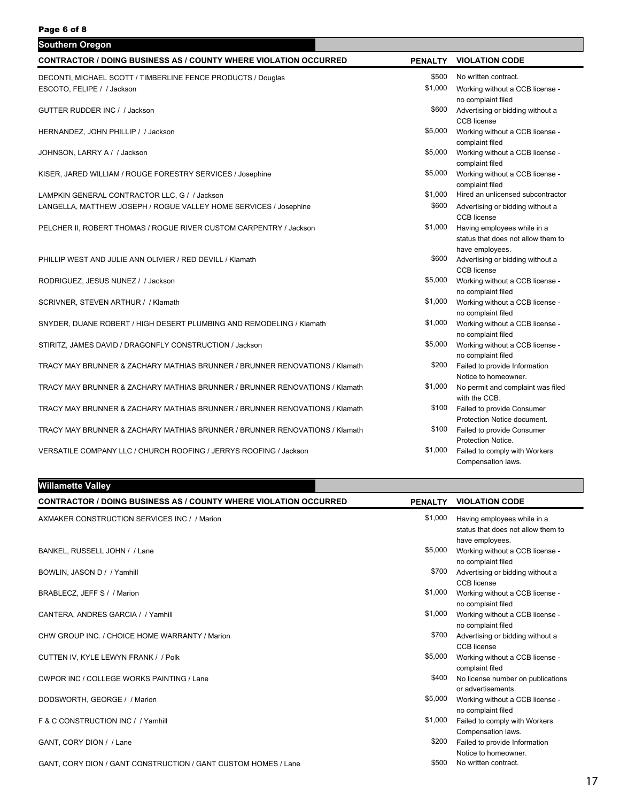| <b>Southern Oregon</b>                                                      |                |                                    |
|-----------------------------------------------------------------------------|----------------|------------------------------------|
| <b>CONTRACTOR / DOING BUSINESS AS / COUNTY WHERE VIOLATION OCCURRED</b>     | <b>PENALTY</b> | <b>VIOLATION CODE</b>              |
| DECONTI, MICHAEL SCOTT / TIMBERLINE FENCE PRODUCTS / Douglas                | \$500          | No written contract.               |
| ESCOTO, FELIPE / / Jackson                                                  | \$1,000        | Working without a CCB license -    |
|                                                                             |                | no complaint filed                 |
| GUTTER RUDDER INC / / Jackson                                               | \$600          | Advertising or bidding without a   |
|                                                                             |                | <b>CCB</b> license                 |
| HERNANDEZ, JOHN PHILLIP / / Jackson                                         | \$5,000        | Working without a CCB license -    |
|                                                                             |                | complaint filed                    |
| JOHNSON, LARRY A / / Jackson                                                | \$5,000        | Working without a CCB license -    |
|                                                                             |                | complaint filed                    |
| KISER, JARED WILLIAM / ROUGE FORESTRY SERVICES / Josephine                  | \$5,000        | Working without a CCB license -    |
|                                                                             |                | complaint filed                    |
| LAMPKIN GENERAL CONTRACTOR LLC, G / / Jackson                               | \$1,000        | Hired an unlicensed subcontractor  |
| LANGELLA, MATTHEW JOSEPH / ROGUE VALLEY HOME SERVICES / Josephine           | \$600          | Advertising or bidding without a   |
|                                                                             |                | <b>CCB</b> license                 |
| PELCHER II, ROBERT THOMAS / ROGUE RIVER CUSTOM CARPENTRY / Jackson          | \$1,000        | Having employees while in a        |
|                                                                             |                | status that does not allow them to |
|                                                                             |                | have employees.                    |
| PHILLIP WEST AND JULIE ANN OLIVIER / RED DEVILL / Klamath                   | \$600          | Advertising or bidding without a   |
|                                                                             |                | CCB license                        |
| RODRIGUEZ, JESUS NUNEZ / / Jackson                                          | \$5,000        | Working without a CCB license -    |
|                                                                             |                | no complaint filed                 |
| SCRIVNER, STEVEN ARTHUR / / Klamath                                         | \$1,000        | Working without a CCB license -    |
|                                                                             |                | no complaint filed                 |
| SNYDER, DUANE ROBERT / HIGH DESERT PLUMBING AND REMODELING / Klamath        | \$1,000        | Working without a CCB license -    |
|                                                                             |                | no complaint filed                 |
| STIRITZ, JAMES DAVID / DRAGONFLY CONSTRUCTION / Jackson                     | \$5,000        | Working without a CCB license -    |
|                                                                             |                | no complaint filed                 |
| TRACY MAY BRUNNER & ZACHARY MATHIAS BRUNNER / BRUNNER RENOVATIONS / Klamath | \$200          | Failed to provide Information      |
|                                                                             |                | Notice to homeowner.               |
| TRACY MAY BRUNNER & ZACHARY MATHIAS BRUNNER / BRUNNER RENOVATIONS / Klamath | \$1,000        | No permit and complaint was filed  |
|                                                                             |                | with the CCB.                      |
| TRACY MAY BRUNNER & ZACHARY MATHIAS BRUNNER / BRUNNER RENOVATIONS / Klamath | \$100          | Failed to provide Consumer         |
|                                                                             |                | Protection Notice document.        |
| TRACY MAY BRUNNER & ZACHARY MATHIAS BRUNNER / BRUNNER RENOVATIONS / Klamath | \$100          | Failed to provide Consumer         |
|                                                                             |                | Protection Notice.                 |
| VERSATILE COMPANY LLC / CHURCH ROOFING / JERRYS ROOFING / Jackson           | \$1,000        | Failed to comply with Workers      |
|                                                                             |                | Compensation laws.                 |

### **Willamette Valley**

| <b>CONTRACTOR / DOING BUSINESS AS / COUNTY WHERE VIOLATION OCCURRED</b> | <b>PENALTY</b> | <b>VIOLATION CODE</b>                                                                |
|-------------------------------------------------------------------------|----------------|--------------------------------------------------------------------------------------|
| AXMAKER CONSTRUCTION SERVICES INC / / Marion                            | \$1,000        | Having employees while in a<br>status that does not allow them to<br>have employees. |
| BANKEL, RUSSELL JOHN / / Lane                                           | \$5,000        | Working without a CCB license -<br>no complaint filed                                |
| BOWLIN, JASON D / / Yamhill                                             | \$700          | Advertising or bidding without a<br><b>CCB</b> license                               |
| BRABLECZ, JEFF S / / Marion                                             | \$1,000        | Working without a CCB license -<br>no complaint filed                                |
| CANTERA, ANDRES GARCIA / / Yamhill                                      | \$1,000        | Working without a CCB license -<br>no complaint filed                                |
| CHW GROUP INC. / CHOICE HOME WARRANTY / Marion                          | \$700          | Advertising or bidding without a<br>CCB license                                      |
| CUTTEN IV, KYLE LEWYN FRANK / / Polk                                    | \$5,000        | Working without a CCB license -<br>complaint filed                                   |
| <b>CWPOR INC / COLLEGE WORKS PAINTING / Lane</b>                        | \$400          | No license number on publications<br>or advertisements.                              |
| DODSWORTH, GEORGE / / Marion                                            | \$5,000        | Working without a CCB license -<br>no complaint filed                                |
| F & C CONSTRUCTION INC / / Yamhill                                      | \$1,000        | Failed to comply with Workers<br>Compensation laws.                                  |
| GANT, CORY DION / / Lane                                                | \$200          | Failed to provide Information<br>Notice to homeowner.                                |
| GANT, CORY DION / GANT CONSTRUCTION / GANT CUSTOM HOMES / Lane          | \$500          | No written contract.                                                                 |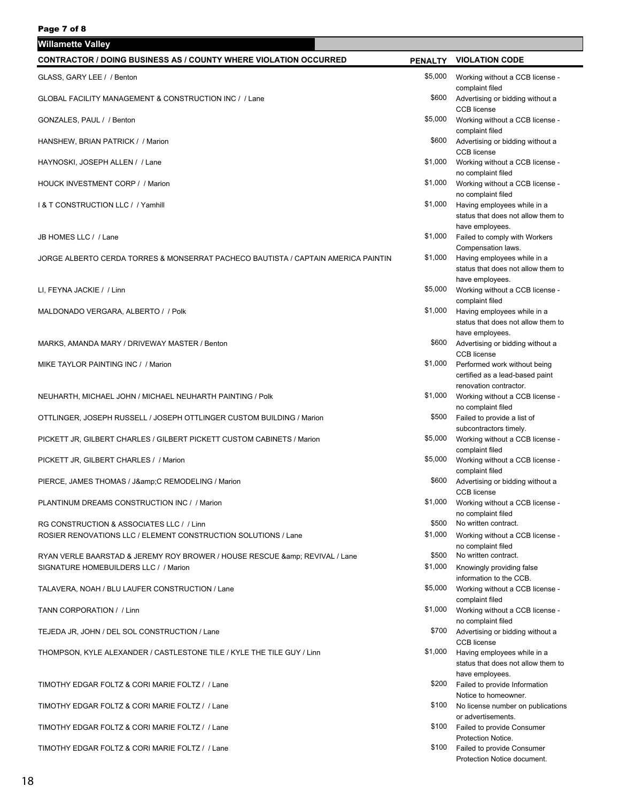| Willamette Valley                                                                                                     |                  |                                                                                         |
|-----------------------------------------------------------------------------------------------------------------------|------------------|-----------------------------------------------------------------------------------------|
| <b>CONTRACTOR / DOING BUSINESS AS / COUNTY WHERE VIOLATION OCCURRED</b>                                               |                  | PENALTY VIOLATION CODE                                                                  |
| GLASS, GARY LEE / / Benton                                                                                            | \$5,000          | Working without a CCB license -<br>complaint filed                                      |
| GLOBAL FACILITY MANAGEMENT & CONSTRUCTION INC / / Lane                                                                | \$600            | Advertising or bidding without a<br><b>CCB</b> license                                  |
| GONZALES, PAUL / / Benton                                                                                             | \$5,000          | Working without a CCB license -<br>complaint filed                                      |
| HANSHEW, BRIAN PATRICK / / Marion                                                                                     | \$600            | Advertising or bidding without a<br><b>CCB</b> license                                  |
| HAYNOSKI, JOSEPH ALLEN / / Lane                                                                                       | \$1,000          | Working without a CCB license -<br>no complaint filed                                   |
| HOUCK INVESTMENT CORP / / Marion                                                                                      | \$1,000          | Working without a CCB license -                                                         |
| 1& T CONSTRUCTION LLC / / Yamhill                                                                                     | \$1,000          | no complaint filed<br>Having employees while in a<br>status that does not allow them to |
| JB HOMES LLC / / Lane                                                                                                 | \$1,000          | have employees.<br>Failed to comply with Workers<br>Compensation laws.                  |
| JORGE ALBERTO CERDA TORRES & MONSERRAT PACHECO BAUTISTA / CAPTAIN AMERICA PAINTIN                                     | \$1,000          | Having employees while in a<br>status that does not allow them to                       |
| LI, FEYNA JACKIE / / Linn                                                                                             | \$5,000          | have employees.<br>Working without a CCB license -                                      |
| MALDONADO VERGARA, ALBERTO / / Polk                                                                                   | \$1,000          | complaint filed<br>Having employees while in a<br>status that does not allow them to    |
| MARKS, AMANDA MARY / DRIVEWAY MASTER / Benton                                                                         | \$600            | have employees.<br>Advertising or bidding without a<br><b>CCB</b> license               |
| MIKE TAYLOR PAINTING INC / / Marion                                                                                   | \$1,000          | Performed work without being<br>certified as a lead-based paint                         |
| NEUHARTH, MICHAEL JOHN / MICHAEL NEUHARTH PAINTING / Polk                                                             | \$1,000          | renovation contractor.<br>Working without a CCB license -                               |
| OTTLINGER, JOSEPH RUSSELL / JOSEPH OTTLINGER CUSTOM BUILDING / Marion                                                 | \$500            | no complaint filed<br>Failed to provide a list of                                       |
| PICKETT JR, GILBERT CHARLES / GILBERT PICKETT CUSTOM CABINETS / Marion                                                | \$5,000          | subcontractors timely.<br>Working without a CCB license -<br>complaint filed            |
| PICKETT JR, GILBERT CHARLES / / Marion                                                                                | \$5,000          | Working without a CCB license -<br>complaint filed                                      |
| PIERCE, JAMES THOMAS / J&C REMODELING / Marion                                                                        | \$600            | Advertising or bidding without a<br><b>CCB</b> license                                  |
| PLANTINUM DREAMS CONSTRUCTION INC / / Marion                                                                          |                  | \$1,000 Working without a CCB license -<br>no complaint filed                           |
| RG CONSTRUCTION & ASSOCIATES LLC / / Linn                                                                             | \$500            | No written contract.                                                                    |
| ROSIER RENOVATIONS LLC / ELEMENT CONSTRUCTION SOLUTIONS / Lane                                                        | \$1,000          | Working without a CCB license -<br>no complaint filed                                   |
| RYAN VERLE BAARSTAD & JEREMY ROY BROWER / HOUSE RESCUE & amp; REVIVAL / Lane<br>SIGNATURE HOMEBUILDERS LLC / / Marion | \$500<br>\$1,000 | No written contract.                                                                    |
|                                                                                                                       | \$5,000          | Knowingly providing false<br>information to the CCB.                                    |
| TALAVERA, NOAH / BLU LAUFER CONSTRUCTION / Lane                                                                       | \$1,000          | Working without a CCB license -<br>complaint filed                                      |
| TANN CORPORATION / / Linn                                                                                             |                  | Working without a CCB license -<br>no complaint filed                                   |
| TEJEDA JR, JOHN / DEL SOL CONSTRUCTION / Lane                                                                         |                  | \$700 Advertising or bidding without a<br><b>CCB</b> license                            |
| THOMPSON, KYLE ALEXANDER / CASTLESTONE TILE / KYLE THE TILE GUY / Linn                                                | \$1,000          | Having employees while in a<br>status that does not allow them to<br>have employees.    |
| TIMOTHY EDGAR FOLTZ & CORI MARIE FOLTZ / / Lane                                                                       |                  | \$200 Failed to provide Information<br>Notice to homeowner.                             |
| TIMOTHY EDGAR FOLTZ & CORI MARIE FOLTZ / / Lane                                                                       | \$100            | No license number on publications<br>or advertisements.                                 |
| TIMOTHY EDGAR FOLTZ & CORI MARIE FOLTZ / / Lane                                                                       | \$100            | Failed to provide Consumer                                                              |
| TIMOTHY EDGAR FOLTZ & CORI MARIE FOLTZ / / Lane                                                                       | \$100            | Protection Notice.<br>Failed to provide Consumer<br>Protection Notice document.         |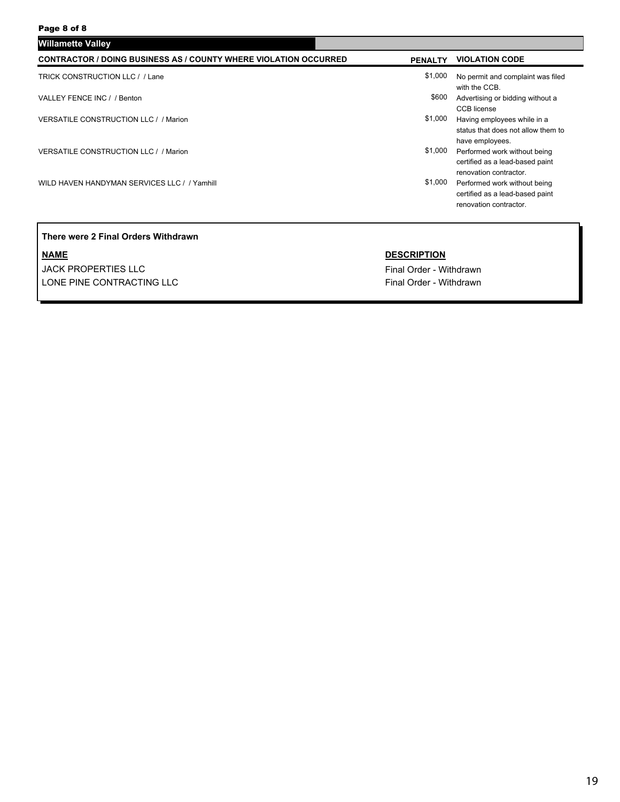| <b>CONTRACTOR / DOING BUSINESS AS / COUNTY WHERE VIOLATION OCCURRED</b> | <b>PENALTY</b> | <b>VIOLATION CODE</b>                                                                     |
|-------------------------------------------------------------------------|----------------|-------------------------------------------------------------------------------------------|
| TRICK CONSTRUCTION LLC / / Lane                                         | \$1,000        | No permit and complaint was filed<br>with the CCB.                                        |
| VALLEY FENCE INC / / Benton                                             | \$600          | Advertising or bidding without a<br><b>CCB</b> license                                    |
| <b>VERSATILE CONSTRUCTION LLC / / Marion</b>                            | \$1,000        | Having employees while in a<br>status that does not allow them to<br>have employees.      |
| <b>VERSATILE CONSTRUCTION LLC / / Marion</b>                            | \$1,000        | Performed work without being<br>certified as a lead-based paint<br>renovation contractor. |
| WILD HAVEN HANDYMAN SERVICES LLC / / Yamhill                            | \$1,000        | Performed work without being<br>certified as a lead-based paint<br>renovation contractor. |

### **There were 2 Final Orders Withdrawn**

**NAME DESCRIPTION** JACK PROPERTIES LLC **Final Order - Withdrawn** LONE PINE CONTRACTING LLC **Final Order - Withdrawn**